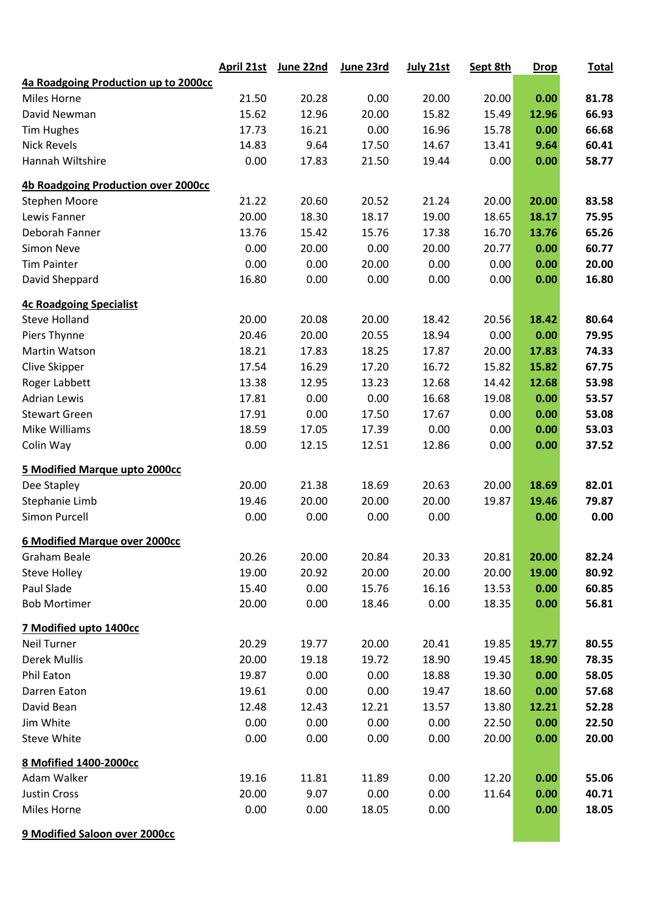|                                            | <b>April 21st</b> | June 22nd | June 23rd | July 21st | Sept 8th | <b>Drop</b> | <b>Total</b> |
|--------------------------------------------|-------------------|-----------|-----------|-----------|----------|-------------|--------------|
| 4a Roadgoing Production up to 2000cc       |                   |           |           |           |          |             |              |
| Miles Horne                                | 21.50             | 20.28     | 0.00      | 20.00     | 20.00    | 0.00        | 81.78        |
| David Newman                               | 15.62             | 12.96     | 20.00     | 15.82     | 15.49    | 12.96       | 66.93        |
| <b>Tim Hughes</b>                          | 17.73             | 16.21     | 0.00      | 16.96     | 15.78    | 0.00        | 66.68        |
| <b>Nick Revels</b>                         | 14.83             | 9.64      | 17.50     | 14.67     | 13.41    | 9.64        | 60.41        |
| Hannah Wiltshire                           | 0.00              | 17.83     | 21.50     | 19.44     | 0.00     | 0.00        | 58.77        |
| <b>4b Roadgoing Production over 2000cc</b> |                   |           |           |           |          |             |              |
| Stephen Moore                              | 21.22             | 20.60     | 20.52     | 21.24     | 20.00    | 20.00       | 83.58        |
| Lewis Fanner                               | 20.00             | 18.30     | 18.17     | 19.00     | 18.65    | 18.17       | 75.95        |
| Deborah Fanner                             | 13.76             | 15.42     | 15.76     | 17.38     | 16.70    | 13.76       | 65.26        |
| <b>Simon Neve</b>                          | 0.00              | 20.00     | 0.00      | 20.00     | 20.77    | 0.00        | 60.77        |
| <b>Tim Painter</b>                         | 0.00              | 0.00      | 20.00     | 0.00      | 0.00     | 0.00        | 20.00        |
| David Sheppard                             | 16.80             | 0.00      | 0.00      | 0.00      | 0.00     | 0.00        | 16.80        |
| <b>4c Roadgoing Specialist</b>             |                   |           |           |           |          |             |              |
| <b>Steve Holland</b>                       | 20.00             | 20.08     | 20.00     | 18.42     | 20.56    | 18.42       | 80.64        |
| Piers Thynne                               | 20.46             | 20.00     | 20.55     | 18.94     | 0.00     | 0.00        | 79.95        |
| Martin Watson                              | 18.21             | 17.83     | 18.25     | 17.87     | 20.00    | 17.83       | 74.33        |
| Clive Skipper                              | 17.54             | 16.29     | 17.20     | 16.72     | 15.82    | 15.82       | 67.75        |
| Roger Labbett                              | 13.38             | 12.95     | 13.23     | 12.68     | 14.42    | 12.68       | 53.98        |
| <b>Adrian Lewis</b>                        | 17.81             | 0.00      | 0.00      | 16.68     | 19.08    | 0.00        | 53.57        |
| <b>Stewart Green</b>                       | 17.91             | 0.00      | 17.50     | 17.67     | 0.00     | 0.00        | 53.08        |
| Mike Williams                              | 18.59             | 17.05     | 17.39     | 0.00      | 0.00     | 0.00        | 53.03        |
| Colin Way                                  | 0.00              | 12.15     | 12.51     | 12.86     | 0.00     | 0.00        | 37.52        |
| 5 Modified Marque upto 2000cc              |                   |           |           |           |          |             |              |
| Dee Stapley                                | 20.00             | 21.38     | 18.69     | 20.63     | 20.00    | 18.69       | 82.01        |
| Stephanie Limb                             | 19.46             | 20.00     | 20.00     | 20.00     | 19.87    | 19.46       | 79.87        |
| <b>Simon Purcell</b>                       | 0.00              | 0.00      | 0.00      | 0.00      |          | 0.00        | 0.00         |
| <b>6 Modified Marque over 2000cc</b>       |                   |           |           |           |          |             |              |
| Graham Beale                               | 20.26             | 20.00     | 20.84     | 20.33     | 20.81    | 20.00       | 82.24        |
| <b>Steve Holley</b>                        | 19.00             | 20.92     | 20.00     | 20.00     | 20.00    | 19.00       | 80.92        |
| Paul Slade                                 | 15.40             | 0.00      | 15.76     | 16.16     | 13.53    | 0.00        | 60.85        |
| <b>Bob Mortimer</b>                        | 20.00             | 0.00      | 18.46     | 0.00      | 18.35    | 0.00        | 56.81        |
| 7 Modified upto 1400cc                     |                   |           |           |           |          |             |              |
| Neil Turner                                | 20.29             | 19.77     | 20.00     | 20.41     | 19.85    | 19.77       | 80.55        |
| <b>Derek Mullis</b>                        | 20.00             | 19.18     | 19.72     | 18.90     | 19.45    | 18.90       | 78.35        |
| Phil Eaton                                 | 19.87             | 0.00      | 0.00      | 18.88     | 19.30    | 0.00        | 58.05        |
| Darren Eaton                               | 19.61             | 0.00      | 0.00      | 19.47     | 18.60    | 0.00        | 57.68        |
| David Bean                                 | 12.48             | 12.43     | 12.21     | 13.57     | 13.80    | 12.21       | 52.28        |
| Jim White                                  | 0.00              | 0.00      | 0.00      | 0.00      | 22.50    | 0.00        | 22.50        |
| <b>Steve White</b>                         | 0.00              | 0.00      | 0.00      | 0.00      | 20.00    | 0.00        | 20.00        |
| 8 Mofified 1400-2000cc                     |                   |           |           |           |          |             |              |
| Adam Walker                                | 19.16             | 11.81     | 11.89     | 0.00      | 12.20    | 0.00        | 55.06        |
| Justin Cross                               | 20.00             | 9.07      | 0.00      | 0.00      | 11.64    | 0.00        | 40.71        |
| Miles Horne                                | 0.00              | 0.00      | 18.05     | 0.00      |          | 0.00        | 18.05        |
| 9 Modified Saloon over 2000cc              |                   |           |           |           |          |             |              |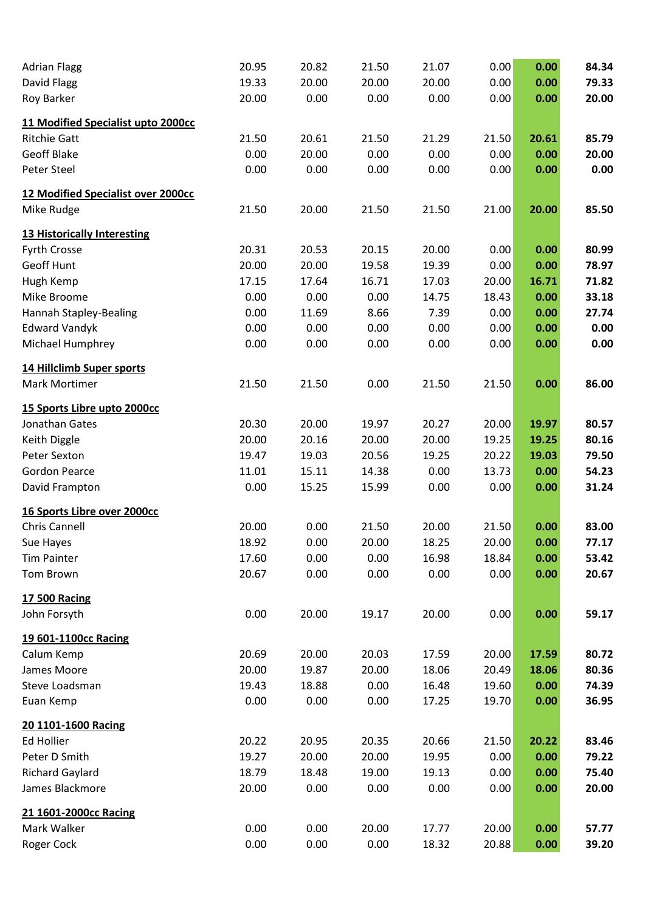| <b>Adrian Flagg</b>                | 20.95 | 20.82 | 21.50 | 21.07 | 0.00  | 0.00  | 84.34 |
|------------------------------------|-------|-------|-------|-------|-------|-------|-------|
| David Flagg                        | 19.33 | 20.00 | 20.00 | 20.00 | 0.00  | 0.00  | 79.33 |
| Roy Barker                         | 20.00 | 0.00  | 0.00  | 0.00  | 0.00  | 0.00  | 20.00 |
| 11 Modified Specialist upto 2000cc |       |       |       |       |       |       |       |
| <b>Ritchie Gatt</b>                | 21.50 | 20.61 | 21.50 | 21.29 | 21.50 | 20.61 | 85.79 |
| <b>Geoff Blake</b>                 | 0.00  | 20.00 | 0.00  | 0.00  | 0.00  | 0.00  | 20.00 |
| Peter Steel                        | 0.00  | 0.00  | 0.00  | 0.00  | 0.00  | 0.00  | 0.00  |
| 12 Modified Specialist over 2000cc |       |       |       |       |       |       |       |
| Mike Rudge                         | 21.50 | 20.00 | 21.50 | 21.50 | 21.00 | 20.00 | 85.50 |
| <b>13 Historically Interesting</b> |       |       |       |       |       |       |       |
| Fyrth Crosse                       | 20.31 | 20.53 | 20.15 | 20.00 | 0.00  | 0.00  | 80.99 |
| Geoff Hunt                         | 20.00 | 20.00 | 19.58 | 19.39 | 0.00  | 0.00  | 78.97 |
| Hugh Kemp                          | 17.15 | 17.64 | 16.71 | 17.03 | 20.00 | 16.71 | 71.82 |
| Mike Broome                        | 0.00  | 0.00  | 0.00  | 14.75 | 18.43 | 0.00  | 33.18 |
| <b>Hannah Stapley-Bealing</b>      | 0.00  | 11.69 | 8.66  | 7.39  | 0.00  | 0.00  | 27.74 |
| <b>Edward Vandyk</b>               | 0.00  | 0.00  | 0.00  | 0.00  | 0.00  | 0.00  | 0.00  |
| Michael Humphrey                   | 0.00  | 0.00  | 0.00  | 0.00  | 0.00  | 0.00  | 0.00  |
| 14 Hillclimb Super sports          |       |       |       |       |       |       |       |
| Mark Mortimer                      | 21.50 | 21.50 | 0.00  | 21.50 | 21.50 | 0.00  | 86.00 |
| 15 Sports Libre upto 2000cc        |       |       |       |       |       |       |       |
| Jonathan Gates                     | 20.30 | 20.00 | 19.97 | 20.27 | 20.00 | 19.97 | 80.57 |
| Keith Diggle                       | 20.00 | 20.16 | 20.00 | 20.00 | 19.25 | 19.25 | 80.16 |
| Peter Sexton                       | 19.47 | 19.03 | 20.56 | 19.25 | 20.22 | 19.03 | 79.50 |
| <b>Gordon Pearce</b>               | 11.01 | 15.11 | 14.38 | 0.00  | 13.73 | 0.00  | 54.23 |
| David Frampton                     | 0.00  | 15.25 | 15.99 | 0.00  | 0.00  | 0.00  | 31.24 |
| 16 Sports Libre over 2000cc        |       |       |       |       |       |       |       |
| Chris Cannell                      | 20.00 | 0.00  | 21.50 | 20.00 | 21.50 | 0.00  | 83.00 |
| Sue Hayes                          | 18.92 | 0.00  | 20.00 | 18.25 | 20.00 | 0.00  | 77.17 |
| <b>Tim Painter</b>                 | 17.60 | 0.00  | 0.00  | 16.98 | 18.84 | 0.00  | 53.42 |
| Tom Brown                          | 20.67 | 0.00  | 0.00  | 0.00  | 0.00  | 0.00  | 20.67 |
| <b>17 500 Racing</b>               |       |       |       |       |       |       |       |
| John Forsyth                       | 0.00  | 20.00 | 19.17 | 20.00 | 0.00  | 0.00  | 59.17 |
| 19 601-1100cc Racing               |       |       |       |       |       |       |       |
| Calum Kemp                         | 20.69 | 20.00 | 20.03 | 17.59 | 20.00 | 17.59 | 80.72 |
| James Moore                        | 20.00 | 19.87 | 20.00 | 18.06 | 20.49 | 18.06 | 80.36 |
| Steve Loadsman                     | 19.43 | 18.88 | 0.00  | 16.48 | 19.60 | 0.00  | 74.39 |
| Euan Kemp                          | 0.00  | 0.00  | 0.00  | 17.25 | 19.70 | 0.00  | 36.95 |
| 20 1101-1600 Racing                |       |       |       |       |       |       |       |
| <b>Ed Hollier</b>                  | 20.22 | 20.95 | 20.35 | 20.66 | 21.50 | 20.22 | 83.46 |
| Peter D Smith                      | 19.27 | 20.00 | 20.00 | 19.95 | 0.00  | 0.00  | 79.22 |
| <b>Richard Gaylard</b>             | 18.79 | 18.48 | 19.00 | 19.13 | 0.00  | 0.00  | 75.40 |
| James Blackmore                    | 20.00 | 0.00  | 0.00  | 0.00  | 0.00  | 0.00  | 20.00 |
| 21 1601-2000cc Racing              |       |       |       |       |       |       |       |
| Mark Walker                        | 0.00  | 0.00  | 20.00 | 17.77 | 20.00 | 0.00  | 57.77 |
| Roger Cock                         | 0.00  | 0.00  | 0.00  | 18.32 | 20.88 | 0.00  | 39.20 |